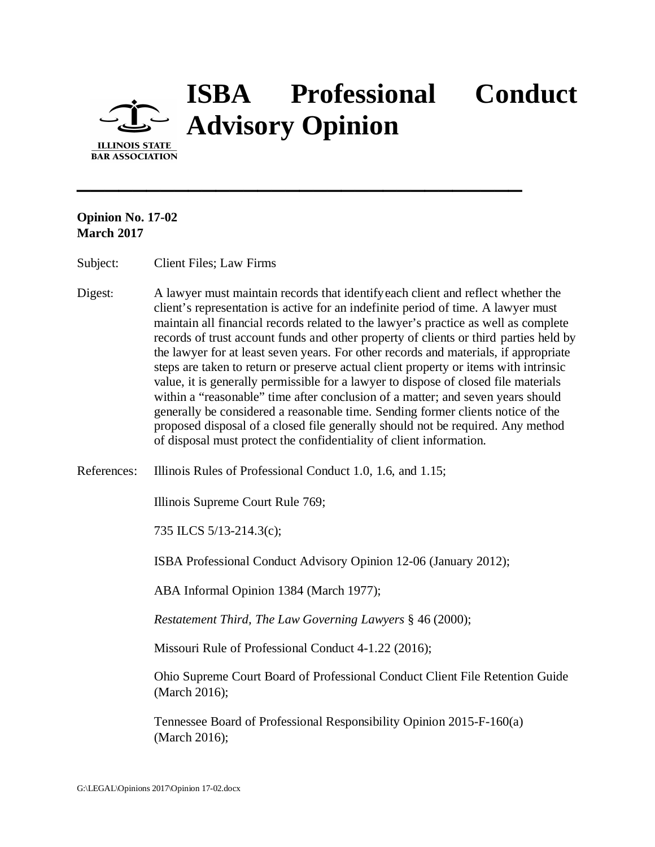

## **ISBA Professional Conduct Advisory Opinion**

**Opinion No. 17-02 March 2017**

Subject: Client Files; Law Firms

Digest: A lawyer must maintain records that identifyeach client and reflect whether the client's representation is active for an indefinite period of time. A lawyer must maintain all financial records related to the lawyer's practice as well as complete records of trust account funds and other property of clients or third parties held by the lawyer for at least seven years. For other records and materials, if appropriate steps are taken to return or preserve actual client property or items with intrinsic value, it is generally permissible for a lawyer to dispose of closed file materials within a "reasonable" time after conclusion of a matter; and seven years should generally be considered a reasonable time. Sending former clients notice of the proposed disposal of a closed file generally should not be required. Any method of disposal must protect the confidentiality of client information.

**\_\_\_\_\_\_\_\_\_\_\_\_\_\_\_\_\_\_\_\_\_\_\_\_\_\_\_\_\_\_\_\_**

References: Illinois Rules of Professional Conduct 1.0, 1.6, and 1.15;

Illinois Supreme Court Rule 769;

735 ILCS 5/13-214.3(c);

ISBA Professional Conduct Advisory Opinion 12-06 (January 2012);

ABA Informal Opinion 1384 (March 1977);

*Restatement Third, The Law Governing Lawyers* § 46 (2000);

Missouri Rule of Professional Conduct 4-1.22 (2016);

Ohio Supreme Court Board of Professional Conduct Client File Retention Guide (March 2016);

Tennessee Board of Professional Responsibility Opinion 2015-F-160(a) (March 2016);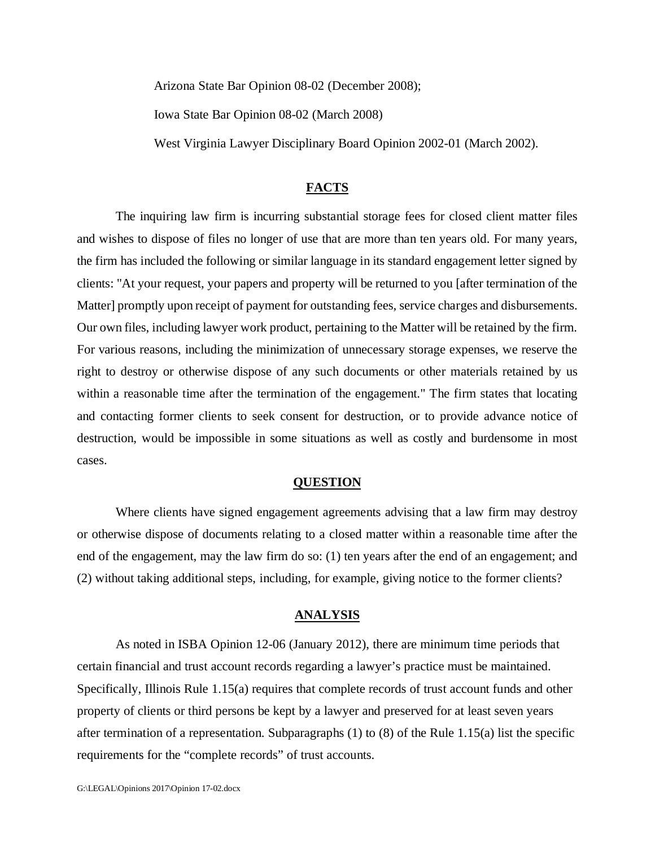Arizona State Bar Opinion 08-02 (December 2008);

Iowa State Bar Opinion 08-02 (March 2008)

West Virginia Lawyer Disciplinary Board Opinion 2002-01 (March 2002).

## **FACTS**

The inquiring law firm is incurring substantial storage fees for closed client matter files and wishes to dispose of files no longer of use that are more than ten years old. For many years, the firm has included the following or similar language in its standard engagement letter signed by clients: "At your request, your papers and property will be returned to you [after termination of the Matter] promptly upon receipt of payment for outstanding fees, service charges and disbursements. Our own files, including lawyer work product, pertaining to the Matter will be retained by the firm. For various reasons, including the minimization of unnecessary storage expenses, we reserve the right to destroy or otherwise dispose of any such documents or other materials retained by us within a reasonable time after the termination of the engagement." The firm states that locating and contacting former clients to seek consent for destruction, or to provide advance notice of destruction, would be impossible in some situations as well as costly and burdensome in most cases.

## **QUESTION**

Where clients have signed engagement agreements advising that a law firm may destroy or otherwise dispose of documents relating to a closed matter within a reasonable time after the end of the engagement, may the law firm do so: (1) ten years after the end of an engagement; and (2) without taking additional steps, including, for example, giving notice to the former clients?

## **ANALYSIS**

As noted in ISBA Opinion 12-06 (January 2012), there are minimum time periods that certain financial and trust account records regarding a lawyer's practice must be maintained. Specifically, Illinois Rule 1.15(a) requires that complete records of trust account funds and other property of clients or third persons be kept by a lawyer and preserved for at least seven years after termination of a representation. Subparagraphs (1) to (8) of the Rule 1.15(a) list the specific requirements for the "complete records" of trust accounts.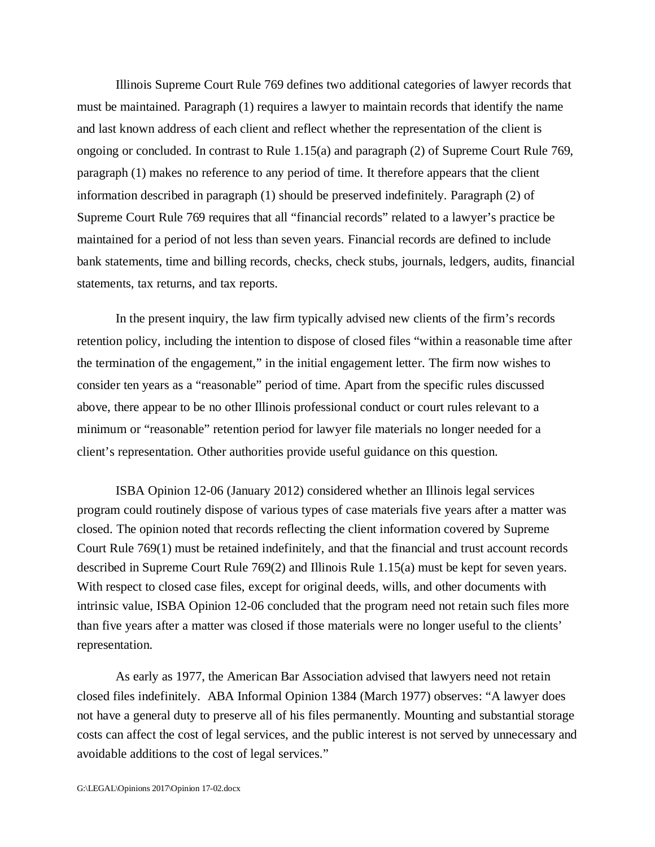Illinois Supreme Court Rule 769 defines two additional categories of lawyer records that must be maintained. Paragraph (1) requires a lawyer to maintain records that identify the name and last known address of each client and reflect whether the representation of the client is ongoing or concluded. In contrast to Rule 1.15(a) and paragraph (2) of Supreme Court Rule 769, paragraph (1) makes no reference to any period of time. It therefore appears that the client information described in paragraph (1) should be preserved indefinitely. Paragraph (2) of Supreme Court Rule 769 requires that all "financial records" related to a lawyer's practice be maintained for a period of not less than seven years. Financial records are defined to include bank statements, time and billing records, checks, check stubs, journals, ledgers, audits, financial statements, tax returns, and tax reports.

In the present inquiry, the law firm typically advised new clients of the firm's records retention policy, including the intention to dispose of closed files "within a reasonable time after the termination of the engagement," in the initial engagement letter. The firm now wishes to consider ten years as a "reasonable" period of time. Apart from the specific rules discussed above, there appear to be no other Illinois professional conduct or court rules relevant to a minimum or "reasonable" retention period for lawyer file materials no longer needed for a client's representation. Other authorities provide useful guidance on this question.

ISBA Opinion 12-06 (January 2012) considered whether an Illinois legal services program could routinely dispose of various types of case materials five years after a matter was closed. The opinion noted that records reflecting the client information covered by Supreme Court Rule 769(1) must be retained indefinitely, and that the financial and trust account records described in Supreme Court Rule 769(2) and Illinois Rule 1.15(a) must be kept for seven years. With respect to closed case files, except for original deeds, wills, and other documents with intrinsic value, ISBA Opinion 12-06 concluded that the program need not retain such files more than five years after a matter was closed if those materials were no longer useful to the clients' representation.

As early as 1977, the American Bar Association advised that lawyers need not retain closed files indefinitely. ABA Informal Opinion 1384 (March 1977) observes: "A lawyer does not have a general duty to preserve all of his files permanently. Mounting and substantial storage costs can affect the cost of legal services, and the public interest is not served by unnecessary and avoidable additions to the cost of legal services."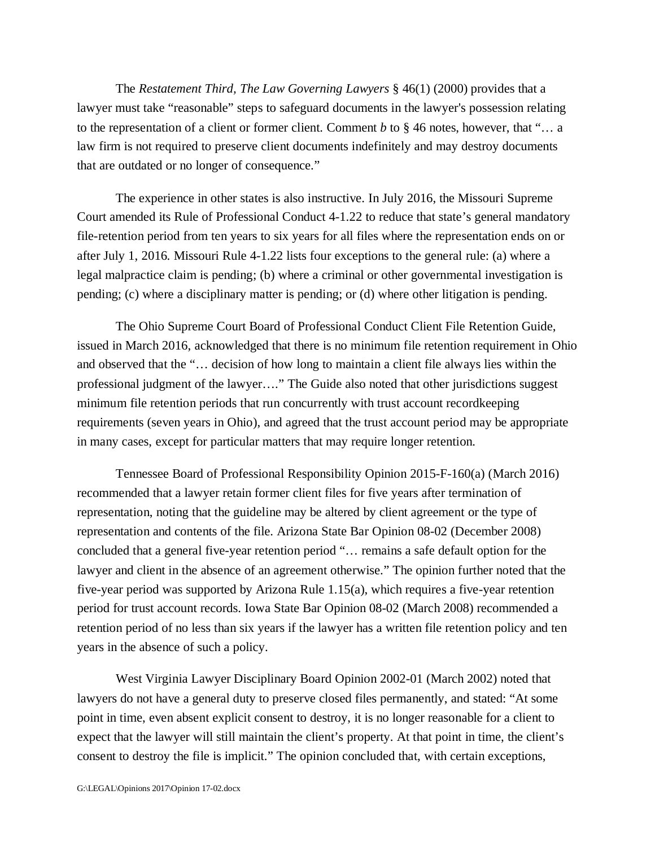The *Restatement Third, The Law Governing Lawyers* § 46(1) (2000) provides that a lawyer must take "reasonable" steps to safeguard documents in the lawyer's possession relating to the representation of a client or former client. Comment *b* to § 46 notes, however, that "… a law firm is not required to preserve client documents indefinitely and may destroy documents that are outdated or no longer of consequence."

The experience in other states is also instructive. In July 2016, the Missouri Supreme Court amended its Rule of Professional Conduct 4-1.22 to reduce that state's general mandatory file-retention period from ten years to six years for all files where the representation ends on or after July 1, 2016. Missouri Rule 4-1.22 lists four exceptions to the general rule: (a) where a legal malpractice claim is pending; (b) where a criminal or other governmental investigation is pending; (c) where a disciplinary matter is pending; or (d) where other litigation is pending.

The Ohio Supreme Court Board of Professional Conduct Client File Retention Guide, issued in March 2016, acknowledged that there is no minimum file retention requirement in Ohio and observed that the "… decision of how long to maintain a client file always lies within the professional judgment of the lawyer…." The Guide also noted that other jurisdictions suggest minimum file retention periods that run concurrently with trust account recordkeeping requirements (seven years in Ohio), and agreed that the trust account period may be appropriate in many cases, except for particular matters that may require longer retention.

Tennessee Board of Professional Responsibility Opinion 2015-F-160(a) (March 2016) recommended that a lawyer retain former client files for five years after termination of representation, noting that the guideline may be altered by client agreement or the type of representation and contents of the file. Arizona State Bar Opinion 08-02 (December 2008) concluded that a general five-year retention period "… remains a safe default option for the lawyer and client in the absence of an agreement otherwise." The opinion further noted that the five-year period was supported by Arizona Rule 1.15(a), which requires a five-year retention period for trust account records. Iowa State Bar Opinion 08-02 (March 2008) recommended a retention period of no less than six years if the lawyer has a written file retention policy and ten years in the absence of such a policy.

West Virginia Lawyer Disciplinary Board Opinion 2002-01 (March 2002) noted that lawyers do not have a general duty to preserve closed files permanently, and stated: "At some point in time, even absent explicit consent to destroy, it is no longer reasonable for a client to expect that the lawyer will still maintain the client's property. At that point in time, the client's consent to destroy the file is implicit." The opinion concluded that, with certain exceptions,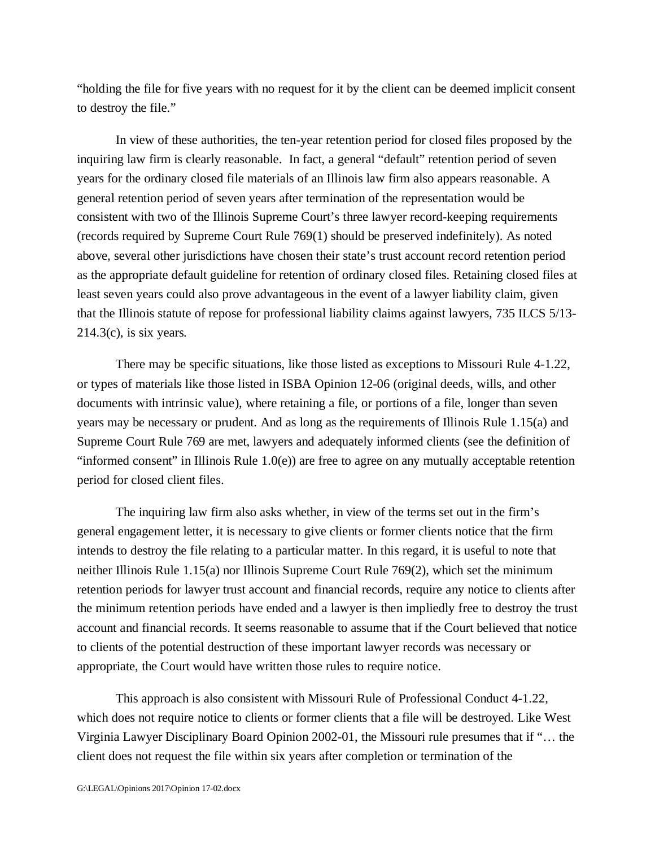"holding the file for five years with no request for it by the client can be deemed implicit consent to destroy the file."

In view of these authorities, the ten-year retention period for closed files proposed by the inquiring law firm is clearly reasonable. In fact, a general "default" retention period of seven years for the ordinary closed file materials of an Illinois law firm also appears reasonable. A general retention period of seven years after termination of the representation would be consistent with two of the Illinois Supreme Court's three lawyer record-keeping requirements (records required by Supreme Court Rule 769(1) should be preserved indefinitely). As noted above, several other jurisdictions have chosen their state's trust account record retention period as the appropriate default guideline for retention of ordinary closed files. Retaining closed files at least seven years could also prove advantageous in the event of a lawyer liability claim, given that the Illinois statute of repose for professional liability claims against lawyers, 735 ILCS 5/13-  $214.3(c)$ , is six years.

There may be specific situations, like those listed as exceptions to Missouri Rule 4-1.22, or types of materials like those listed in ISBA Opinion 12-06 (original deeds, wills, and other documents with intrinsic value), where retaining a file, or portions of a file, longer than seven years may be necessary or prudent. And as long as the requirements of Illinois Rule 1.15(a) and Supreme Court Rule 769 are met, lawyers and adequately informed clients (see the definition of "informed consent" in Illinois Rule 1.0(e)) are free to agree on any mutually acceptable retention period for closed client files.

The inquiring law firm also asks whether, in view of the terms set out in the firm's general engagement letter, it is necessary to give clients or former clients notice that the firm intends to destroy the file relating to a particular matter. In this regard, it is useful to note that neither Illinois Rule 1.15(a) nor Illinois Supreme Court Rule 769(2), which set the minimum retention periods for lawyer trust account and financial records, require any notice to clients after the minimum retention periods have ended and a lawyer is then impliedly free to destroy the trust account and financial records. It seems reasonable to assume that if the Court believed that notice to clients of the potential destruction of these important lawyer records was necessary or appropriate, the Court would have written those rules to require notice.

This approach is also consistent with Missouri Rule of Professional Conduct 4-1.22, which does not require notice to clients or former clients that a file will be destroyed. Like West Virginia Lawyer Disciplinary Board Opinion 2002-01, the Missouri rule presumes that if "… the client does not request the file within six years after completion or termination of the